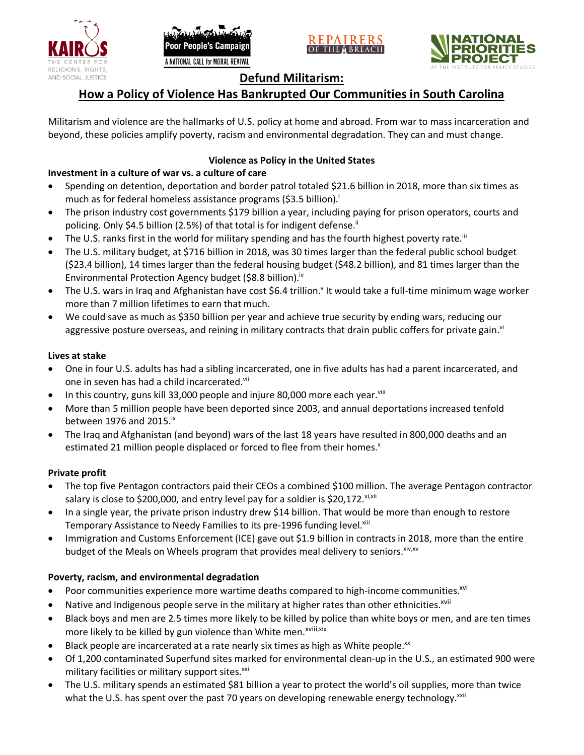





# **Defund Militarism:**

# **How a Policy of Violence Has Bankrupted Our Communities in South Carolina**

Militarism and violence are the hallmarks of U.S. policy at home and abroad. From war to mass incarceration and beyond, these policies amplify poverty, racism and environmental degradation. They can and must change.

# **Violence as Policy in the United States**

# **Investment in a culture of war vs. a culture of care**

- Spending on detention, deportation and border patrol totaled \$21.6 billion in 2018, more than six times as much as for federal homeless assistance programs (\$3.5 billion).<sup>i</sup>
- The prison industry cost governments \$179 billion a year, including paying for prison operators, courts and policing. Only \$4.5 billion (2.5%) of that total is for indigent defense.<sup>ii</sup>
- The U.S. ranks first in the world for military spending and has the fourth highest poverty rate.<sup>iii</sup>
- The U.S. military budget, at \$716 billion in 2018, was 30 times larger than the federal public school budget (\$23.4 billion), 14 times larger than the federal housing budget (\$48.2 billion), and 81 times larger than the Environmental Protection Agency budget (\$8.8 billion).<sup>iv</sup>
- The U.S. wars in Iraq and Afghanistan have cost \$6.4 trillion.<sup>v</sup> It would take a full-time minimum wage worker more than 7 million lifetimes to earn that much.
- We could save as much as \$350 billion per year and achieve true security by ending wars, reducing our aggressive posture overseas, and reining in military contracts that drain public coffers for private gain.<sup>vi</sup>

### **Lives at stake**

- One in four U.S. adults has had a sibling incarcerated, one in five adults has had a parent incarcerated, and one in seven has had a child incarcerated.vii
- In this country, guns kill 33,000 people and injure 80,000 more each year. $v_{\text{lin}}$
- More than 5 million people have been deported since 2003, and annual deportations increased tenfold between 1976 and 2015. $\mathrm{i}$ <sup>x</sup>
- The Iraq and Afghanistan (and beyond) wars of the last 18 years have resulted in 800,000 deaths and an estimated 21 million people displaced or forced to flee from their homes.<sup>x</sup>

## **Private profit**

- The top five Pentagon contractors paid their CEOs a combined \$100 million. The average Pentagon contractor salary is close to \$200,000, and entry level pay for a soldier is \$20,172. xi,xii
- In a single year, the private prison industry drew \$14 billion. That would be more than enough to restore Temporary Assistance to Needy Families to its pre-1996 funding level.<sup>xiii</sup>
- Immigration and Customs Enforcement (ICE) gave out \$1.9 billion in contracts in 2018, more than the entire budget of the Meals on Wheels program that provides meal delivery to seniors. Xiv, XV

## **Poverty, racism, and environmental degradation**

- Poor communities experience more wartime deaths compared to high-income communities.<sup>xvi</sup>
- Native and Indigenous people serve in the military at higher rates than other ethnicities.<sup>xvii</sup>
- Black boys and men are 2.5 times more likely to be killed by police than white boys or men, and are ten times more likely to be killed by gun violence than White men.<sup>xviii,xix</sup>
- Black people are incarcerated at a rate nearly six times as high as White people.<sup>xx</sup>
- Of 1,200 contaminated Superfund sites marked for environmental clean-up in the U.S., an estimated 900 were military facilities or military support sites.<sup>xxi</sup>
- The U.S. military spends an estimated \$81 billion a year to protect the world's oil supplies, more than twice what the U.S. has spent over the past 70 years on developing renewable energy technology.<sup>xxii</sup>